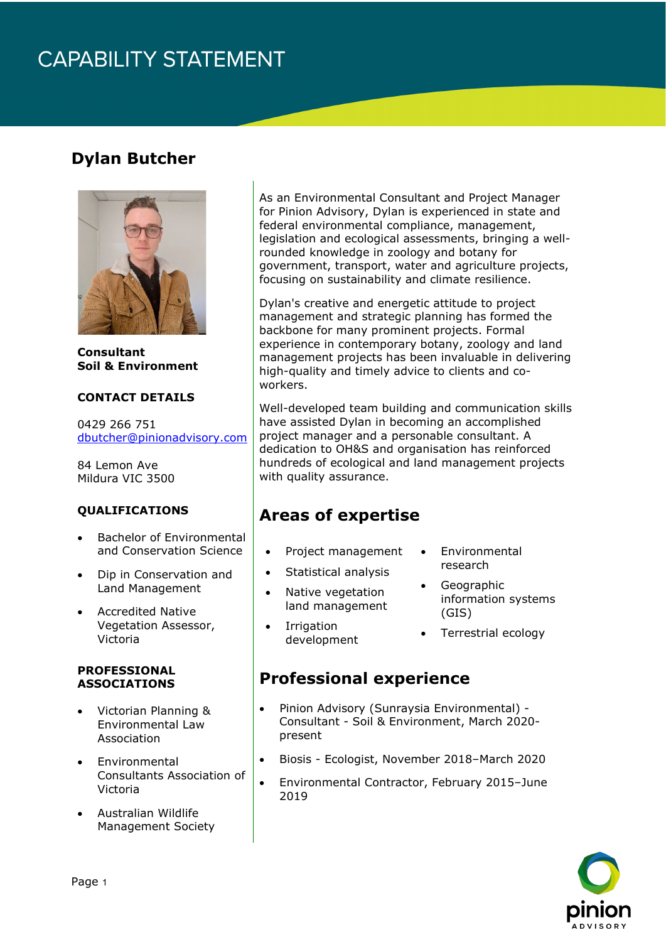# **CAPABILITY STATEMENT**

## **Dylan Butcher**



**Consultant Soil & Environment**

#### **CONTACT DETAILS**

0429 266 751 [dbutcher@pinionadvisory.com](mailto:dbutcher@pinionadvisory.com)

84 Lemon Ave Mildura VIC 3500

#### **QUALIFICATIONS**

- Bachelor of Environmental and Conservation Science
- Dip in Conservation and Land Management
- Accredited Native Vegetation Assessor, Victoria

#### **PROFESSIONAL ASSOCIATIONS**

- Victorian Planning & Environmental Law Association
- Environmental Consultants Association of Victoria
- Australian Wildlife Management Society

As an Environmental Consultant and Project Manager for Pinion Advisory, Dylan is experienced in state and federal environmental compliance, management, legislation and ecological assessments, bringing a wellrounded knowledge in zoology and botany for government, transport, water and agriculture projects, focusing on sustainability and climate resilience.

Dylan's creative and energetic attitude to project management and strategic planning has formed the backbone for many prominent projects. Formal experience in contemporary botany, zoology and land management projects has been invaluable in delivering high-quality and timely advice to clients and coworkers.

Well-developed team building and communication skills have assisted Dylan in becoming an accomplished project manager and a personable consultant. A dedication to OH&S and organisation has reinforced hundreds of ecological and land management projects with quality assurance.

### **Areas of expertise**

- Project management
- **Environmental** research
- Statistical analysis
- Native vegetation land management
- **Geographic** information systems (GIS)
- Irrigation development
- Terrestrial ecology

### **Professional experience**

- Pinion Advisory (Sunraysia Environmental) Consultant - Soil & Environment, March 2020 present
- Biosis Ecologist, November 2018–March 2020
- Environmental Contractor, February 2015–June 2019